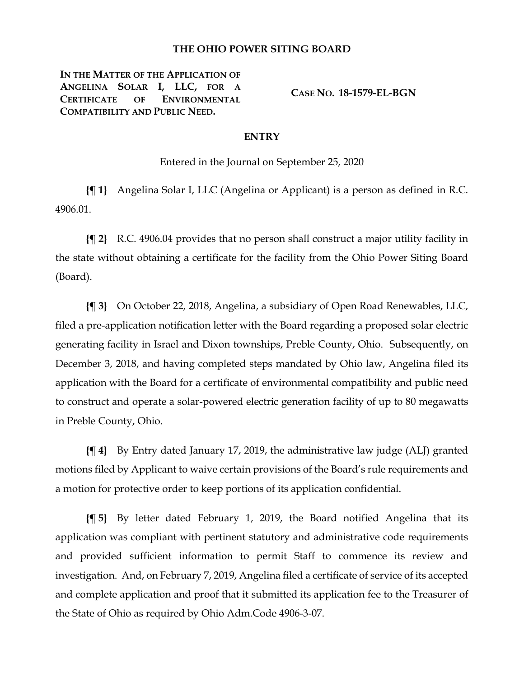### **THE OHIO POWER SITING BOARD**

**IN THE MATTER OF THE APPLICATION OF ANGELINA SOLAR I, LLC, FOR A CERTIFICATE OF ENVIRONMENTAL COMPATIBILITY AND PUBLIC NEED.**

**CASE NO. 18-1579-EL-BGN**

#### **ENTRY**

Entered in the Journal on September 25, 2020

**{¶ 1}** Angelina Solar I, LLC (Angelina or Applicant) is a person as defined in R.C. 4906.01.

**{¶ 2}** R.C. 4906.04 provides that no person shall construct a major utility facility in the state without obtaining a certificate for the facility from the Ohio Power Siting Board (Board).

**{¶ 3}** On October 22, 2018, Angelina, a subsidiary of Open Road Renewables, LLC, filed a pre-application notification letter with the Board regarding a proposed solar electric generating facility in Israel and Dixon townships, Preble County, Ohio. Subsequently, on December 3, 2018, and having completed steps mandated by Ohio law, Angelina filed its application with the Board for a certificate of environmental compatibility and public need to construct and operate a solar-powered electric generation facility of up to 80 megawatts in Preble County, Ohio.

**{¶ 4}** By Entry dated January 17, 2019, the administrative law judge (ALJ) granted motions filed by Applicant to waive certain provisions of the Board's rule requirements and a motion for protective order to keep portions of its application confidential.

**{¶ 5}** By letter dated February 1, 2019, the Board notified Angelina that its application was compliant with pertinent statutory and administrative code requirements and provided sufficient information to permit Staff to commence its review and investigation. And, on February 7, 2019, Angelina filed a certificate of service of its accepted and complete application and proof that it submitted its application fee to the Treasurer of the State of Ohio as required by Ohio Adm.Code 4906-3-07.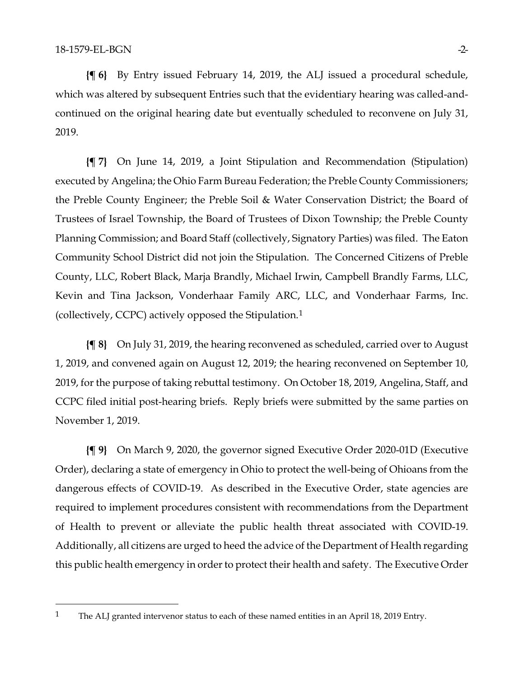**{¶ 6}** By Entry issued February 14, 2019, the ALJ issued a procedural schedule, which was altered by subsequent Entries such that the evidentiary hearing was called-andcontinued on the original hearing date but eventually scheduled to reconvene on July 31, 2019.

**{¶ 7}** On June 14, 2019, a Joint Stipulation and Recommendation (Stipulation) executed by Angelina; the Ohio Farm Bureau Federation; the Preble County Commissioners; the Preble County Engineer; the Preble Soil & Water Conservation District; the Board of Trustees of Israel Township, the Board of Trustees of Dixon Township; the Preble County Planning Commission; and Board Staff (collectively, Signatory Parties) was filed. The Eaton Community School District did not join the Stipulation. The Concerned Citizens of Preble County, LLC, Robert Black, Marja Brandly, Michael Irwin, Campbell Brandly Farms, LLC, Kevin and Tina Jackson, Vonderhaar Family ARC, LLC, and Vonderhaar Farms, Inc. (collectively, CCPC) actively opposed the Stipulation.[1](#page-1-0)

**{¶ 8}** On July 31, 2019, the hearing reconvened as scheduled, carried over to August 1, 2019, and convened again on August 12, 2019; the hearing reconvened on September 10, 2019, for the purpose of taking rebuttal testimony. On October 18, 2019, Angelina, Staff, and CCPC filed initial post-hearing briefs. Reply briefs were submitted by the same parties on November 1, 2019.

**{¶ 9}** On March 9, 2020, the governor signed Executive Order 2020-01D (Executive Order), declaring a state of emergency in Ohio to protect the well-being of Ohioans from the dangerous effects of COVID-19. As described in the Executive Order, state agencies are required to implement procedures consistent with recommendations from the Department of Health to prevent or alleviate the public health threat associated with COVID-19. Additionally, all citizens are urged to heed the advice of the Department of Health regarding this public health emergency in order to protect their health and safety. The Executive Order

<span id="page-1-0"></span><sup>&</sup>lt;sup>1</sup> The ALJ granted intervenor status to each of these named entities in an April 18, 2019 Entry.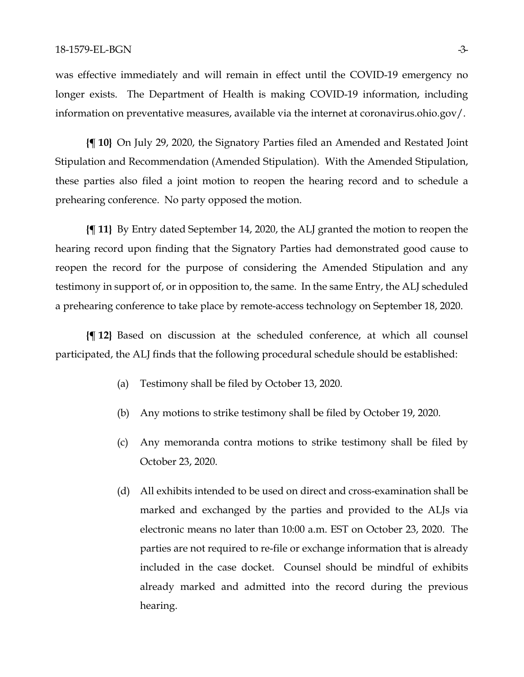was effective immediately and will remain in effect until the COVID-19 emergency no longer exists. The Department of Health is making COVID-19 information, including information on preventative measures, available via the internet at coronavirus.ohio.gov/.

**{¶ 10}** On July 29, 2020, the Signatory Parties filed an Amended and Restated Joint Stipulation and Recommendation (Amended Stipulation). With the Amended Stipulation, these parties also filed a joint motion to reopen the hearing record and to schedule a prehearing conference. No party opposed the motion.

**{¶ 11}** By Entry dated September 14, 2020, the ALJ granted the motion to reopen the hearing record upon finding that the Signatory Parties had demonstrated good cause to reopen the record for the purpose of considering the Amended Stipulation and any testimony in support of, or in opposition to, the same. In the same Entry, the ALJ scheduled a prehearing conference to take place by remote-access technology on September 18, 2020.

**{¶ 12}** Based on discussion at the scheduled conference, at which all counsel participated, the ALJ finds that the following procedural schedule should be established:

- (a) Testimony shall be filed by October 13, 2020.
- (b) Any motions to strike testimony shall be filed by October 19, 2020.
- (c) Any memoranda contra motions to strike testimony shall be filed by October 23, 2020.
- (d) All exhibits intended to be used on direct and cross-examination shall be marked and exchanged by the parties and provided to the ALJs via electronic means no later than 10:00 a.m. EST on October 23, 2020. The parties are not required to re-file or exchange information that is already included in the case docket. Counsel should be mindful of exhibits already marked and admitted into the record during the previous hearing.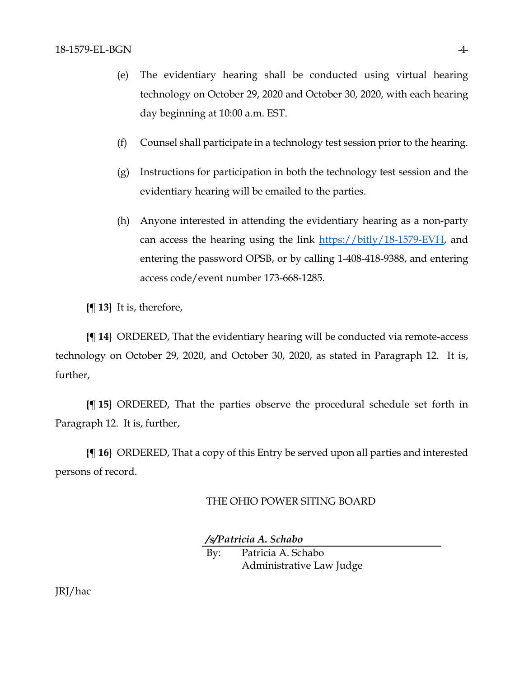- (e) The evidentiary hearing shall be conducted using virtual hearing technology on October 29, 2020 and October 30, 2020, with each hearing day beginning at 10:00 a.m. EST.
- (f) Counsel shall participate in a technology test session prior to the hearing.
- (g) Instructions for participation in both the technology test session and the evidentiary hearing will be emailed to the parties.
- (h) Anyone interested in attending the evidentiary hearing as a non-party can access the hearing using the link [https://bitly/18-1579-EVH,](https://bitly/18-1579-EVH) and entering the password OPSB, or by calling 1-408-418-9388, and entering access code/event number 173-668-1285.

**{¶ 13}** It is, therefore,

**{¶ 14}** ORDERED, That the evidentiary hearing will be conducted via remote-access technology on October 29, 2020, and October 30, 2020, as stated in Paragraph 12. It is, further,

**{¶ 15}** ORDERED, That the parties observe the procedural schedule set forth in Paragraph 12. It is, further,

**{¶ 16}** ORDERED, That a copy of this Entry be served upon all parties and interested persons of record.

### THE OHIO POWER SITING BOARD

*/s/Patricia A. Schabo*

By: Patricia A. Schabo Administrative Law Judge

JRJ/hac